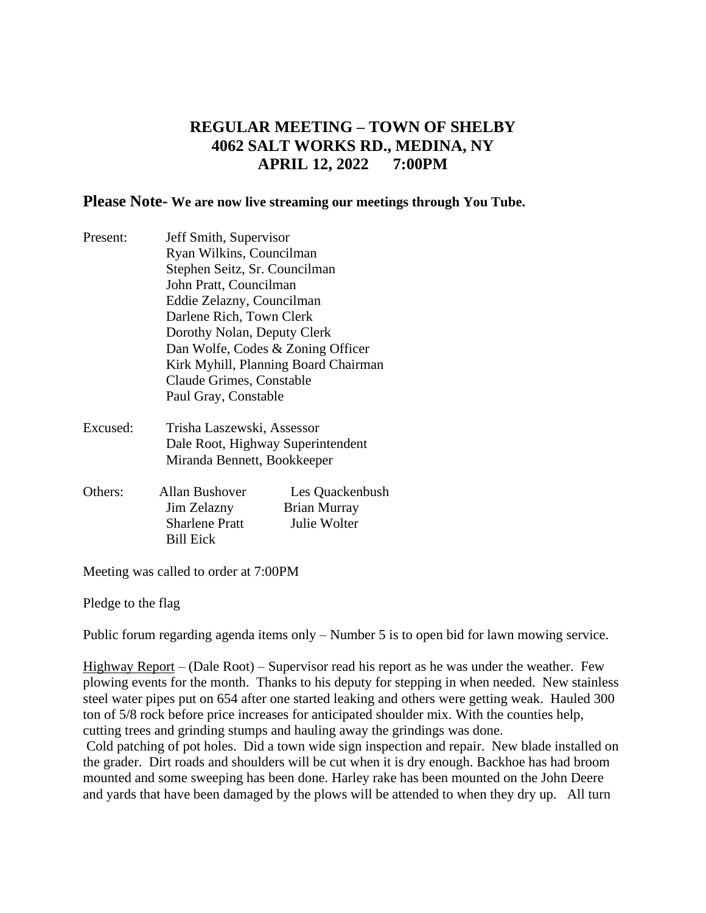# **REGULAR MEETING – TOWN OF SHELBY 4062 SALT WORKS RD., MEDINA, NY APRIL 12, 2022 7:00PM**

# **Please Note- We are now live streaming our meetings through You Tube.**

- Present: Jeff Smith, Supervisor Ryan Wilkins, Councilman Stephen Seitz, Sr. Councilman John Pratt, Councilman Eddie Zelazny, Councilman Darlene Rich, Town Clerk Dorothy Nolan, Deputy Clerk Dan Wolfe, Codes & Zoning Officer Kirk Myhill, Planning Board Chairman Claude Grimes, Constable Paul Gray, Constable
- Excused: Trisha Laszewski, Assessor Dale Root, Highway Superintendent Miranda Bennett, Bookkeeper
- Others: Allan Bushover Les Quackenbush Jim Zelazny Brian Murray Sharlene Pratt Julie Wolter Bill Eick

Meeting was called to order at 7:00PM

Pledge to the flag

Public forum regarding agenda items only – Number 5 is to open bid for lawn mowing service.

Highway Report – (Dale Root) – Supervisor read his report as he was under the weather. Few plowing events for the month. Thanks to his deputy for stepping in when needed. New stainless steel water pipes put on 654 after one started leaking and others were getting weak. Hauled 300 ton of 5/8 rock before price increases for anticipated shoulder mix. With the counties help, cutting trees and grinding stumps and hauling away the grindings was done.

Cold patching of pot holes. Did a town wide sign inspection and repair. New blade installed on the grader. Dirt roads and shoulders will be cut when it is dry enough. Backhoe has had broom mounted and some sweeping has been done. Harley rake has been mounted on the John Deere and yards that have been damaged by the plows will be attended to when they dry up. All turn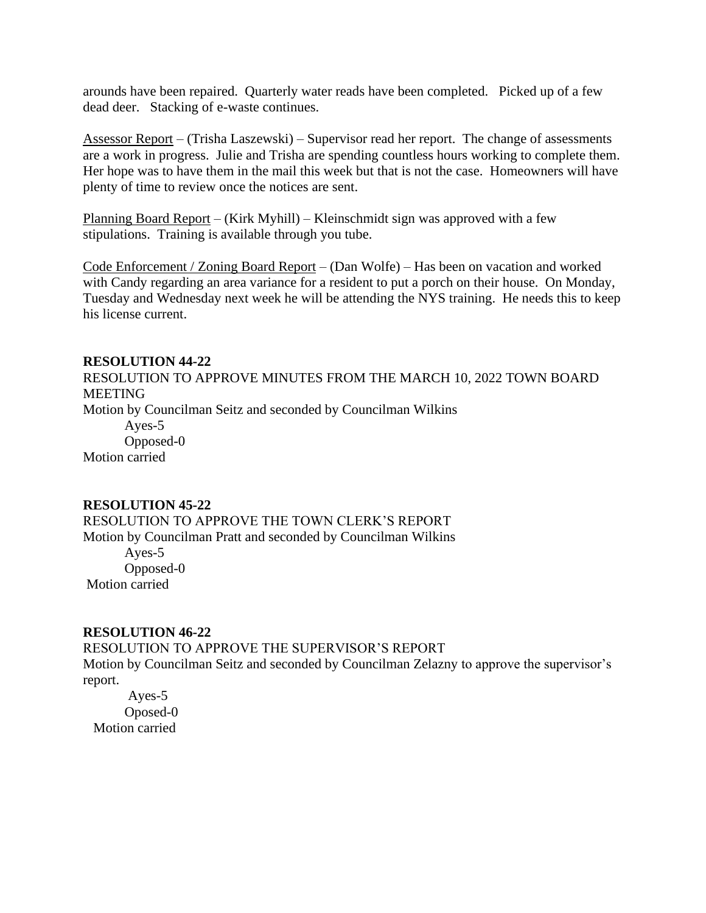arounds have been repaired. Quarterly water reads have been completed. Picked up of a few dead deer. Stacking of e-waste continues.

Assessor Report – (Trisha Laszewski) – Supervisor read her report. The change of assessments are a work in progress. Julie and Trisha are spending countless hours working to complete them. Her hope was to have them in the mail this week but that is not the case. Homeowners will have plenty of time to review once the notices are sent.

Planning Board Report – (Kirk Myhill) – Kleinschmidt sign was approved with a few stipulations. Training is available through you tube.

Code Enforcement / Zoning Board Report – (Dan Wolfe) – Has been on vacation and worked with Candy regarding an area variance for a resident to put a porch on their house. On Monday, Tuesday and Wednesday next week he will be attending the NYS training. He needs this to keep his license current.

### **RESOLUTION 44-22**

RESOLUTION TO APPROVE MINUTES FROM THE MARCH 10, 2022 TOWN BOARD MEETING

Motion by Councilman Seitz and seconded by Councilman Wilkins

Ayes-5 Opposed-0 Motion carried

# **RESOLUTION 45-22**

RESOLUTION TO APPROVE THE TOWN CLERK'S REPORT Motion by Councilman Pratt and seconded by Councilman Wilkins Ayes-5 Opposed-0 Motion carried

# **RESOLUTION 46-22**

RESOLUTION TO APPROVE THE SUPERVISOR'S REPORT Motion by Councilman Seitz and seconded by Councilman Zelazny to approve the supervisor's report.

 Ayes-5 Oposed-0 Motion carried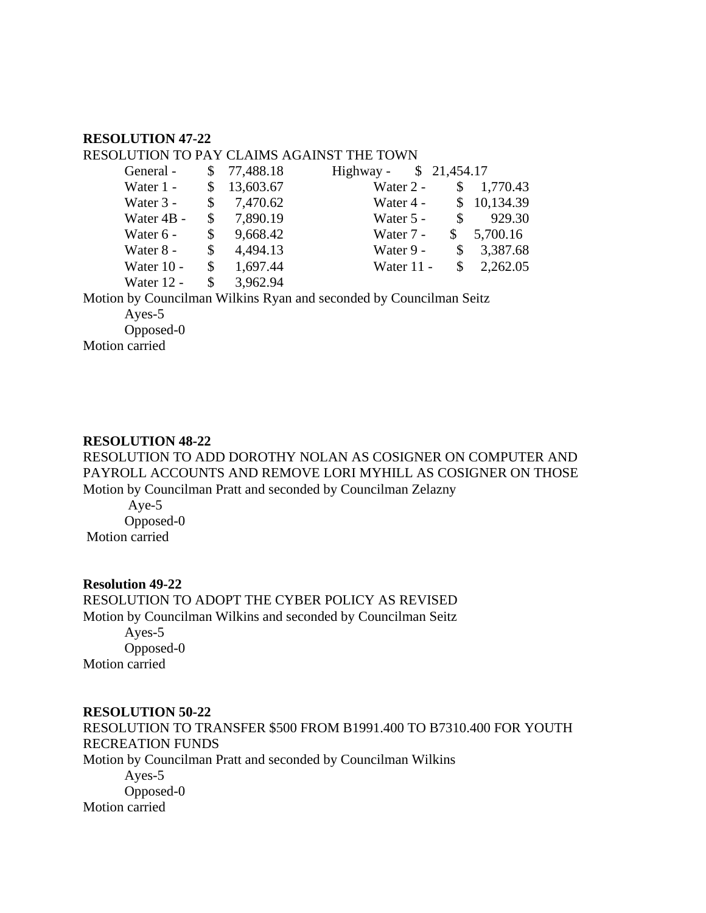#### **RESOLUTION 47-22**

#### RESOLUTION TO PAY CLAIMS AGAINST THE TOWN

| General -    | 77,488.18       | Highway -  | \$21,454.17    |           |
|--------------|-----------------|------------|----------------|-----------|
| Water 1 -    | \$<br>13,603.67 | Water 2 -  | \$             | 1,770.43  |
| Water 3 -    | \$<br>7,470.62  | Water 4 -  | <sup>S</sup>   | 10,134.39 |
| Water 4B -   | \$<br>7,890.19  | Water 5 -  | $\mathbb{S}^-$ | 929.30    |
| Water 6 -    | \$<br>9,668.42  | Water 7 -  | S              | 5,700.16  |
| Water 8 -    | \$<br>4,494.13  | Water 9 -  | \$             | 3,387.68  |
| Water $10 -$ | \$<br>1,697.44  | Water 11 - | S.             | 2,262.05  |
| Water 12 -   | \$<br>3,962.94  |            |                |           |

Motion by Councilman Wilkins Ryan and seconded by Councilman Seitz

Ayes-5

Opposed-0

Motion carried

#### **RESOLUTION 48-22**

RESOLUTION TO ADD DOROTHY NOLAN AS COSIGNER ON COMPUTER AND PAYROLL ACCOUNTS AND REMOVE LORI MYHILL AS COSIGNER ON THOSE Motion by Councilman Pratt and seconded by Councilman Zelazny

 Aye-5 Opposed-0 Motion carried

#### **Resolution 49-22**

RESOLUTION TO ADOPT THE CYBER POLICY AS REVISED Motion by Councilman Wilkins and seconded by Councilman Seitz Ayes-5 Opposed-0 Motion carried

#### **RESOLUTION 50-22**

RESOLUTION TO TRANSFER \$500 FROM B1991.400 TO B7310.400 FOR YOUTH RECREATION FUNDS Motion by Councilman Pratt and seconded by Councilman Wilkins Ayes-5 Opposed-0 Motion carried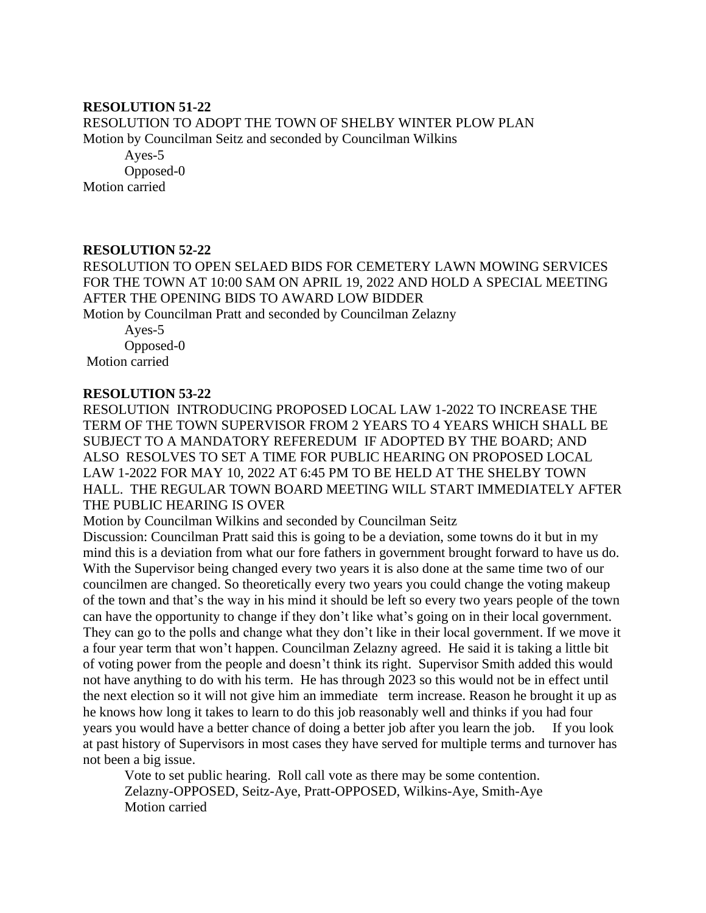# **RESOLUTION 51-22**

RESOLUTION TO ADOPT THE TOWN OF SHELBY WINTER PLOW PLAN Motion by Councilman Seitz and seconded by Councilman Wilkins

Ayes-5 Opposed-0 Motion carried

# **RESOLUTION 52-22**

RESOLUTION TO OPEN SELAED BIDS FOR CEMETERY LAWN MOWING SERVICES FOR THE TOWN AT 10:00 SAM ON APRIL 19, 2022 AND HOLD A SPECIAL MEETING AFTER THE OPENING BIDS TO AWARD LOW BIDDER

Motion by Councilman Pratt and seconded by Councilman Zelazny

Ayes-5 Opposed-0 Motion carried

# **RESOLUTION 53-22**

RESOLUTION INTRODUCING PROPOSED LOCAL LAW 1-2022 TO INCREASE THE TERM OF THE TOWN SUPERVISOR FROM 2 YEARS TO 4 YEARS WHICH SHALL BE SUBJECT TO A MANDATORY REFEREDUM IF ADOPTED BY THE BOARD; AND ALSO RESOLVES TO SET A TIME FOR PUBLIC HEARING ON PROPOSED LOCAL LAW 1-2022 FOR MAY 10, 2022 AT 6:45 PM TO BE HELD AT THE SHELBY TOWN HALL. THE REGULAR TOWN BOARD MEETING WILL START IMMEDIATELY AFTER THE PUBLIC HEARING IS OVER

Motion by Councilman Wilkins and seconded by Councilman Seitz

Discussion: Councilman Pratt said this is going to be a deviation, some towns do it but in my mind this is a deviation from what our fore fathers in government brought forward to have us do. With the Supervisor being changed every two years it is also done at the same time two of our councilmen are changed. So theoretically every two years you could change the voting makeup of the town and that's the way in his mind it should be left so every two years people of the town can have the opportunity to change if they don't like what's going on in their local government. They can go to the polls and change what they don't like in their local government. If we move it a four year term that won't happen. Councilman Zelazny agreed. He said it is taking a little bit of voting power from the people and doesn't think its right. Supervisor Smith added this would not have anything to do with his term. He has through 2023 so this would not be in effect until the next election so it will not give him an immediate term increase. Reason he brought it up as he knows how long it takes to learn to do this job reasonably well and thinks if you had four years you would have a better chance of doing a better job after you learn the job. If you look at past history of Supervisors in most cases they have served for multiple terms and turnover has not been a big issue.

Vote to set public hearing. Roll call vote as there may be some contention. Zelazny-OPPOSED, Seitz-Aye, Pratt-OPPOSED, Wilkins-Aye, Smith-Aye Motion carried